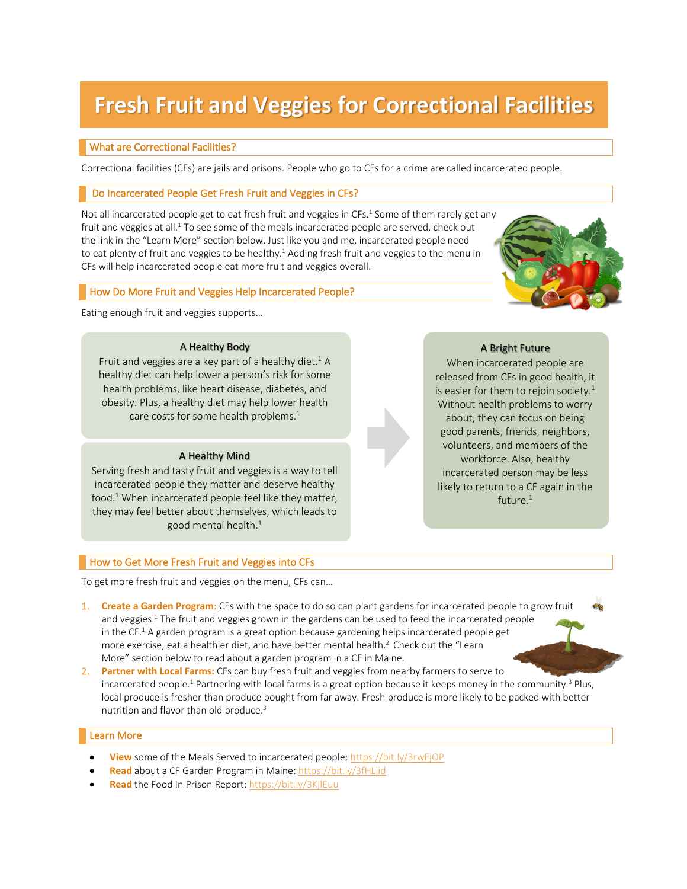# **Fresh Fruit and Veggies for Correctional Facilities**

### What are Correctional Facilities?

Correctional facilities (CFs) are jails and prisons. People who go to CFs for a crime are called incarcerated people.

#### Do Incarcerated People Get Fresh Fruit and Veggies in CFs?

Not all incarcerated people get to eat fresh fruit and veggies in CFs.<sup>1</sup> Some of them rarely get any fruit and veggies at all. $1$  To see some of the meals incarcerated people are served, check out the link in the "Learn More" section below. Just like you and me, incarcerated people need to eat plenty of fruit and veggies to be healthy.<sup>1</sup> Adding fresh fruit and veggies to the menu in CFs will help incarcerated people eat more fruit and veggies overall.

#### How Do More Fruit and Veggies Help Incarcerated People?

Eating enough fruit and veggies supports…

#### A Healthy Body

Fruit and veggies are a key part of a healthy diet.<sup>1</sup> A healthy diet can help lower a person's risk for some health problems, like heart disease, diabetes, and obesity. Plus, a healthy diet may help lower health care costs for some health problems. 1

#### A Healthy Mind

Serving fresh and tasty fruit and veggies is a way to tell incarcerated people they matter and deserve healthy food.<sup>1</sup> When incarcerated people feel like they matter, they may feel better about themselves, which leads to good mental health.1

#### How to Get More Fresh Fruit and Veggies into CFs

To get more fresh fruit and veggies on the menu, CFs can…

- 1. **Create a Garden Program**: CFs with the space to do so can plant gardens for incarcerated people to grow fruit and veggies.<sup>1</sup> The fruit and veggies grown in the gardens can be used to feed the incarcerated people in the CF.<sup>1</sup> A garden program is a great option because gardening helps incarcerated people get more exercise, eat a healthier diet, and have better mental health.<sup>2</sup> Check out the "Learn More" section below to read about a garden program in a CF in Maine.
- 2. **Partner with Local Farms:** CFs can buy fresh fruit and veggies from nearby farmers to serve to incarcerated people.<sup>1</sup> Partnering with local farms is a great option because it keeps money in the community.<sup>3</sup> Plus, local produce is fresher than produce bought from far away. Fresh produce is more likely to be packed with better nutrition and flavor than old produce.3

#### Learn More

- **View** some of the Meals Served to incarcerated people: https://bit.ly/3rwFjOP
- **Read** about a CF Garden Program in Maine: https://bit.ly/3fHLjid
- **Read** the Food In Prison Report: https://bit.ly/3KjlEuu

## A Bright Future

When incarcerated people are released from CFs in good health, it is easier for them to rejoin society.<sup>1</sup> Without health problems to worry about, they can focus on being good parents, friends, neighbors, volunteers, and members of the workforce. Also, healthy incarcerated person may be less likely to return to a CF again in the future. $1$